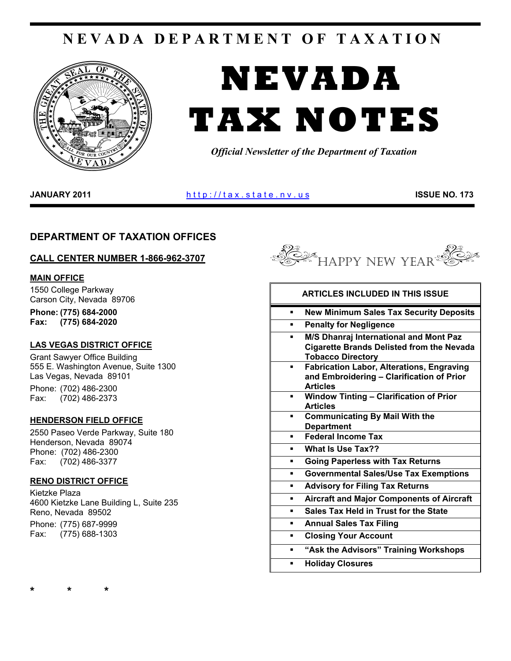# **NEVADA DEPARTMENT OF TAXATION**



# **NEVADA TAX NOTES**

*Official Newsletter of the Department of Taxation* 

**JANUARY 2011 http://tax.state.nv.us ISSUE NO. 173** 

# **DEPARTMENT OF TAXATION OFFICES**

# **CALL CENTER NUMBER 1-866-962-3707**

# **MAIN OFFICE**

1550 College Parkway Carson City, Nevada 89706

**Phone: (775) 684-2000 Fax: (775) 684-2020** 

# **LAS VEGAS DISTRICT OFFICE**

Grant Sawyer Office Building 555 E. Washington Avenue, Suite 1300 Las Vegas, Nevada 89101 Phone: (702) 486-2300 Fax: (702) 486-2373

# **HENDERSON FIELD OFFICE**

2550 Paseo Verde Parkway, Suite 180 Henderson, Nevada 89074 Phone: (702) 486-2300 Fax: (702) 486-3377

# **RENO DISTRICT OFFICE**

Kietzke Plaza 4600 Kietzke Lane Building L, Suite 235 Reno, Nevada 89502 Phone: (775) 687-9999

Fax: (775) 688-1303



|   | <b>ARTICLES INCLUDED IN THIS ISSUE</b>                                                                                 |
|---|------------------------------------------------------------------------------------------------------------------------|
| ▪ | <b>New Minimum Sales Tax Security Deposits</b>                                                                         |
| ▪ | <b>Penalty for Negligence</b>                                                                                          |
| ٠ | M/S Dhanraj International and Mont Paz<br><b>Cigarette Brands Delisted from the Nevada</b><br><b>Tobacco Directory</b> |
|   | <b>Fabrication Labor, Alterations, Engraving</b><br>and Embroidering - Clarification of Prior<br><b>Articles</b>       |
|   | <b>Window Tinting - Clarification of Prior</b><br><b>Articles</b>                                                      |
|   | <b>Communicating By Mail With the</b><br><b>Department</b>                                                             |
| ٠ | <b>Federal Income Tax</b>                                                                                              |
|   | What Is Use Tax??                                                                                                      |
| ▪ | <b>Going Paperless with Tax Returns</b>                                                                                |
| п | <b>Governmental Sales/Use Tax Exemptions</b>                                                                           |
| ٠ | <b>Advisory for Filing Tax Returns</b>                                                                                 |
| ٠ | <b>Aircraft and Major Components of Aircraft</b>                                                                       |
|   | <b>Sales Tax Held in Trust for the State</b>                                                                           |
| ٠ | <b>Annual Sales Tax Filing</b>                                                                                         |
| ٠ | <b>Closing Your Account</b>                                                                                            |
|   | "Ask the Advisors" Training Workshops                                                                                  |
|   | <b>Holiday Closures</b>                                                                                                |
|   |                                                                                                                        |

**\* \* \***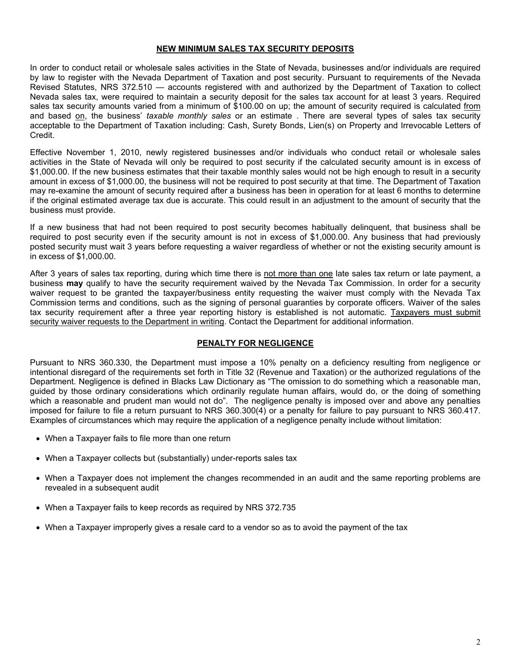# **NEW MINIMUM SALES TAX SECURITY DEPOSITS**

In order to conduct retail or wholesale sales activities in the State of Nevada, businesses and/or individuals are required by law to register with the Nevada Department of Taxation and post security. Pursuant to requirements of the Nevada Revised Statutes, NRS 372.510 — accounts registered with and authorized by the Department of Taxation to collect Nevada sales tax, were required to maintain a security deposit for the sales tax account for at least 3 years. Required sales tax security amounts varied from a minimum of \$100.00 on up; the amount of security required is calculated from and based on, the business' *taxable monthly sales* or an estimate . There are several types of sales tax security acceptable to the Department of Taxation including: Cash, Surety Bonds, Lien(s) on Property and Irrevocable Letters of Credit.

Effective November 1, 2010, newly registered businesses and/or individuals who conduct retail or wholesale sales activities in the State of Nevada will only be required to post security if the calculated security amount is in excess of \$1,000.00. If the new business estimates that their taxable monthly sales would not be high enough to result in a security amount in excess of \$1,000.00, the business will not be required to post security at that time. The Department of Taxation may re-examine the amount of security required after a business has been in operation for at least 6 months to determine if the original estimated average tax due is accurate. This could result in an adjustment to the amount of security that the business must provide.

If a new business that had not been required to post security becomes habitually delinquent, that business shall be required to post security even if the security amount is not in excess of \$1,000.00. Any business that had previously posted security must wait 3 years before requesting a waiver regardless of whether or not the existing security amount is in excess of \$1,000.00.

After 3 years of sales tax reporting, during which time there is not more than one late sales tax return or late payment, a business **may** qualify to have the security requirement waived by the Nevada Tax Commission. In order for a security waiver request to be granted the taxpayer/business entity requesting the waiver must comply with the Nevada Tax Commission terms and conditions, such as the signing of personal guaranties by corporate officers. Waiver of the sales tax security requirement after a three year reporting history is established is not automatic. Taxpayers must submit security waiver requests to the Department in writing. Contact the Department for additional information.

# **PENALTY FOR NEGLIGENCE**

Pursuant to NRS 360.330, the Department must impose a 10% penalty on a deficiency resulting from negligence or intentional disregard of the requirements set forth in Title 32 (Revenue and Taxation) or the authorized regulations of the Department. Negligence is defined in Blacks Law Dictionary as "The omission to do something which a reasonable man, guided by those ordinary considerations which ordinarily regulate human affairs, would do, or the doing of something which a reasonable and prudent man would not do". The negligence penalty is imposed over and above any penalties imposed for failure to file a return pursuant to NRS 360.300(4) or a penalty for failure to pay pursuant to NRS 360.417. Examples of circumstances which may require the application of a negligence penalty include without limitation:

- When a Taxpayer fails to file more than one return
- When a Taxpayer collects but (substantially) under-reports sales tax
- When a Taxpayer does not implement the changes recommended in an audit and the same reporting problems are revealed in a subsequent audit
- When a Taxpayer fails to keep records as required by NRS 372.735
- When a Taxpayer improperly gives a resale card to a vendor so as to avoid the payment of the tax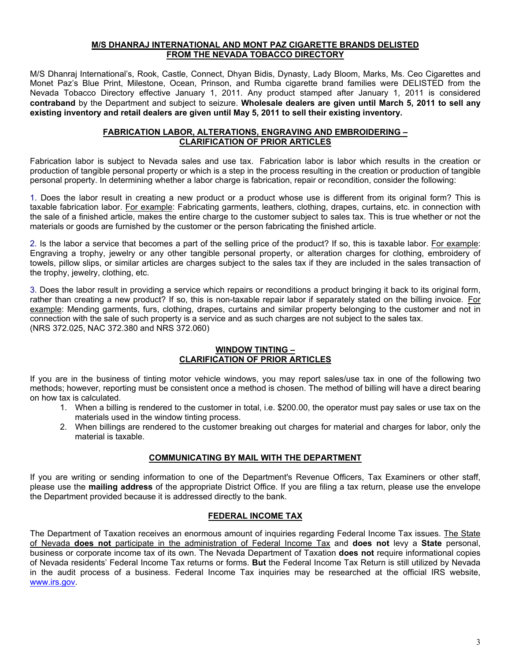## **M/S DHANRAJ INTERNATIONAL AND MONT PAZ CIGARETTE BRANDS DELISTED FROM THE NEVADA TOBACCO DIRECTORY**

M/S Dhanraj International's, Rook, Castle, Connect, Dhyan Bidis, Dynasty, Lady Bloom, Marks, Ms. Ceo Cigarettes and Monet Paz's Blue Print, Milestone, Ocean, Prinson, and Rumba cigarette brand families were DELISTED from the Nevada Tobacco Directory effective January 1, 2011. Any product stamped after January 1, 2011 is considered **contraband** by the Department and subject to seizure. **Wholesale dealers are given until March 5, 2011 to sell any existing inventory and retail dealers are given until May 5, 2011 to sell their existing inventory.** 

# **FABRICATION LABOR, ALTERATIONS, ENGRAVING AND EMBROIDERING – CLARIFICATION OF PRIOR ARTICLES**

Fabrication labor is subject to Nevada sales and use tax. Fabrication labor is labor which results in the creation or production of tangible personal property or which is a step in the process resulting in the creation or production of tangible personal property. In determining whether a labor charge is fabrication, repair or recondition, consider the following:

1. Does the labor result in creating a new product or a product whose use is different from its original form? This is taxable fabrication labor. For example: Fabricating garments, leathers, clothing, drapes, curtains, etc. in connection with the sale of a finished article, makes the entire charge to the customer subject to sales tax. This is true whether or not the materials or goods are furnished by the customer or the person fabricating the finished article.

2. Is the labor a service that becomes a part of the selling price of the product? If so, this is taxable labor. For example: Engraving a trophy, jewelry or any other tangible personal property, or alteration charges for clothing, embroidery of towels, pillow slips, or similar articles are charges subject to the sales tax if they are included in the sales transaction of the trophy, jewelry, clothing, etc.

3. Does the labor result in providing a service which repairs or reconditions a product bringing it back to its original form, rather than creating a new product? If so, this is non-taxable repair labor if separately stated on the billing invoice. For example: Mending garments, furs, clothing, drapes, curtains and similar property belonging to the customer and not in connection with the sale of such property is a service and as such charges are not subject to the sales tax. (NRS 372.025, NAC 372.380 and NRS 372.060)

# **WINDOW TINTING – CLARIFICATION OF PRIOR ARTICLES**

If you are in the business of tinting motor vehicle windows, you may report sales/use tax in one of the following two methods; however, reporting must be consistent once a method is chosen. The method of billing will have a direct bearing on how tax is calculated.

- 1. When a billing is rendered to the customer in total, i.e. \$200.00, the operator must pay sales or use tax on the materials used in the window tinting process.
- 2. When billings are rendered to the customer breaking out charges for material and charges for labor, only the material is taxable.

# **COMMUNICATING BY MAIL WITH THE DEPARTMENT**

If you are writing or sending information to one of the Department's Revenue Officers, Tax Examiners or other staff, please use the **mailing address** of the appropriate District Office. If you are filing a tax return, please use the envelope the Department provided because it is addressed directly to the bank.

# **FEDERAL INCOME TAX**

The Department of Taxation receives an enormous amount of inquiries regarding Federal Income Tax issues. The State of Nevada **does not** participate in the administration of Federal Income Tax and **does not** levy a **State** personal, business or corporate income tax of its own. The Nevada Department of Taxation **does not** require informational copies of Nevada residents' Federal Income Tax returns or forms. **But** the Federal Income Tax Return is still utilized by Nevada in the audit process of a business. Federal Income Tax inquiries may be researched at the official IRS website, [www.irs.gov](http://www.irs.gov/).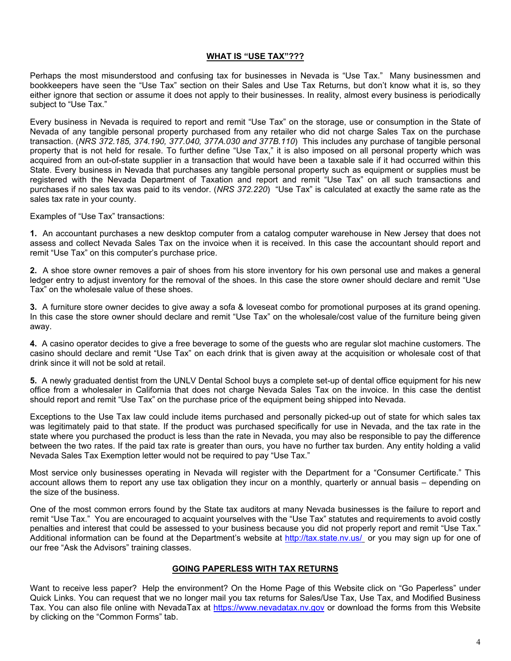# **WHAT IS "USE TAX"???**

Perhaps the most misunderstood and confusing tax for businesses in Nevada is "Use Tax." Many businessmen and bookkeepers have seen the "Use Tax" section on their Sales and Use Tax Returns, but don't know what it is, so they either ignore that section or assume it does not apply to their businesses. In reality, almost every business is periodically subject to "Use Tax."

Every business in Nevada is required to report and remit "Use Tax" on the storage, use or consumption in the State of Nevada of any tangible personal property purchased from any retailer who did not charge Sales Tax on the purchase transaction. (*NRS 372.185, 374.190, 377.040, 377A.030 and 377B.110*) This includes any purchase of tangible personal property that is not held for resale. To further define "Use Tax," it is also imposed on all personal property which was acquired from an out-of-state supplier in a transaction that would have been a taxable sale if it had occurred within this State. Every business in Nevada that purchases any tangible personal property such as equipment or supplies must be registered with the Nevada Department of Taxation and report and remit "Use Tax" on all such transactions and purchases if no sales tax was paid to its vendor. (*NRS 372.220*) "Use Tax" is calculated at exactly the same rate as the sales tax rate in your county.

Examples of "Use Tax" transactions:

**1.** An accountant purchases a new desktop computer from a catalog computer warehouse in New Jersey that does not assess and collect Nevada Sales Tax on the invoice when it is received. In this case the accountant should report and remit "Use Tax" on this computer's purchase price.

**2.** A shoe store owner removes a pair of shoes from his store inventory for his own personal use and makes a general ledger entry to adjust inventory for the removal of the shoes. In this case the store owner should declare and remit "Use Tax" on the wholesale value of these shoes.

**3.** A furniture store owner decides to give away a sofa & loveseat combo for promotional purposes at its grand opening. In this case the store owner should declare and remit "Use Tax" on the wholesale/cost value of the furniture being given away.

**4.** A casino operator decides to give a free beverage to some of the guests who are regular slot machine customers. The casino should declare and remit "Use Tax" on each drink that is given away at the acquisition or wholesale cost of that drink since it will not be sold at retail.

**5.** A newly graduated dentist from the UNLV Dental School buys a complete set-up of dental office equipment for his new office from a wholesaler in California that does not charge Nevada Sales Tax on the invoice. In this case the dentist should report and remit "Use Tax" on the purchase price of the equipment being shipped into Nevada.

Exceptions to the Use Tax law could include items purchased and personally picked-up out of state for which sales tax was legitimately paid to that state. If the product was purchased specifically for use in Nevada, and the tax rate in the state where you purchased the product is less than the rate in Nevada, you may also be responsible to pay the difference between the two rates. If the paid tax rate is greater than ours, you have no further tax burden. Any entity holding a valid Nevada Sales Tax Exemption letter would not be required to pay "Use Tax."

Most service only businesses operating in Nevada will register with the Department for a "Consumer Certificate." This account allows them to report any use tax obligation they incur on a monthly, quarterly or annual basis – depending on the size of the business.

One of the most common errors found by the State tax auditors at many Nevada businesses is the failure to report and remit "Use Tax." You are encouraged to acquaint yourselves with the "Use Tax" statutes and requirements to avoid costly penalties and interest that could be assessed to your business because you did not properly report and remit "Use Tax." Additional information can be found at the Department's website at <http://tax.state.nv.us/> or you may sign up for one of our free "Ask the Advisors" training classes.

# **GOING PAPERLESS WITH TAX RETURNS**

Want to receive less paper? Help the environment? On the Home Page of this Website click on "Go Paperless" under Quick Links. You can request that we no longer mail you tax returns for Sales/Use Tax, Use Tax, and Modified Business Tax. You can also file online with NevadaTax at [https://www.nevadatax.nv.gov](https://www.nevadatax.nv.gov/) or download the forms from this Website by clicking on the "Common Forms" tab.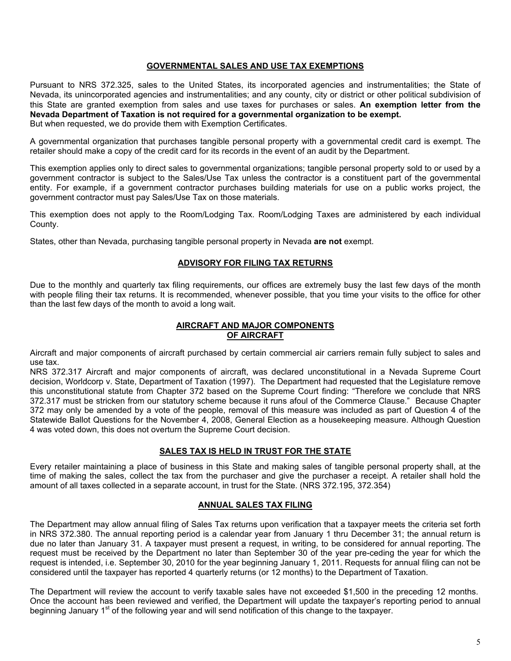# **GOVERNMENTAL SALES AND USE TAX EXEMPTIONS**

Pursuant to NRS 372.325, sales to the United States, its incorporated agencies and instrumentalities; the State of Nevada, its unincorporated agencies and instrumentalities; and any county, city or district or other political subdivision of this State are granted exemption from sales and use taxes for purchases or sales. **An exemption letter from the Nevada Department of Taxation is not required for a governmental organization to be exempt.**  But when requested, we do provide them with Exemption Certificates.

A governmental organization that purchases tangible personal property with a governmental credit card is exempt. The retailer should make a copy of the credit card for its records in the event of an audit by the Department.

This exemption applies only to direct sales to governmental organizations; tangible personal property sold to or used by a government contractor is subject to the Sales/Use Tax unless the contractor is a constituent part of the governmental entity. For example, if a government contractor purchases building materials for use on a public works project, the government contractor must pay Sales/Use Tax on those materials.

This exemption does not apply to the Room/Lodging Tax. Room/Lodging Taxes are administered by each individual County.

States, other than Nevada, purchasing tangible personal property in Nevada **are not** exempt.

### **ADVISORY FOR FILING TAX RETURNS**

Due to the monthly and quarterly tax filing requirements, our offices are extremely busy the last few days of the month with people filing their tax returns. It is recommended, whenever possible, that you time your visits to the office for other than the last few days of the month to avoid a long wait.

# **AIRCRAFT AND MAJOR COMPONENTS OF AIRCRAFT**

Aircraft and major components of aircraft purchased by certain commercial air carriers remain fully subject to sales and use tax.

NRS 372.317 Aircraft and major components of aircraft, was declared unconstitutional in a Nevada Supreme Court decision, Worldcorp v. State, Department of Taxation (1997). The Department had requested that the Legislature remove this unconstitutional statute from Chapter 372 based on the Supreme Court finding: "Therefore we conclude that NRS 372.317 must be stricken from our statutory scheme because it runs afoul of the Commerce Clause." Because Chapter 372 may only be amended by a vote of the people, removal of this measure was included as part of Question 4 of the Statewide Ballot Questions for the November 4, 2008, General Election as a housekeeping measure. Although Question 4 was voted down, this does not overturn the Supreme Court decision.

# **SALES TAX IS HELD IN TRUST FOR THE STATE**

Every retailer maintaining a place of business in this State and making sales of tangible personal property shall, at the time of making the sales, collect the tax from the purchaser and give the purchaser a receipt. A retailer shall hold the amount of all taxes collected in a separate account, in trust for the State. (NRS 372.195, 372.354)

### **ANNUAL SALES TAX FILING**

The Department may allow annual filing of Sales Tax returns upon verification that a taxpayer meets the criteria set forth in NRS 372.380. The annual reporting period is a calendar year from January 1 thru December 31; the annual return is due no later than January 31. A taxpayer must present a request, in writing, to be considered for annual reporting. The request must be received by the Department no later than September 30 of the year pre-ceding the year for which the request is intended, i.e. September 30, 2010 for the year beginning January 1, 2011. Requests for annual filing can not be considered until the taxpayer has reported 4 quarterly returns (or 12 months) to the Department of Taxation.

The Department will review the account to verify taxable sales have not exceeded \$1,500 in the preceding 12 months. Once the account has been reviewed and verified, the Department will update the taxpayer's reporting period to annual beginning January 1<sup>st</sup> of the following year and will send notification of this change to the taxpayer.